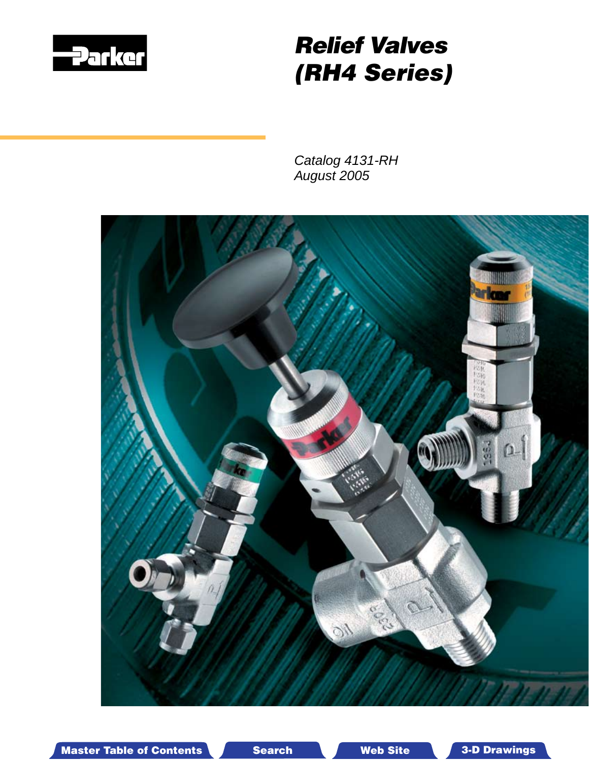

# *Relief Valves (RH4 Series)*

*Catalog 4131-RH August 2005*



Master Table of Contents Search Web Site 3-D Drawings Search Master Table of Contents 3-D Drawings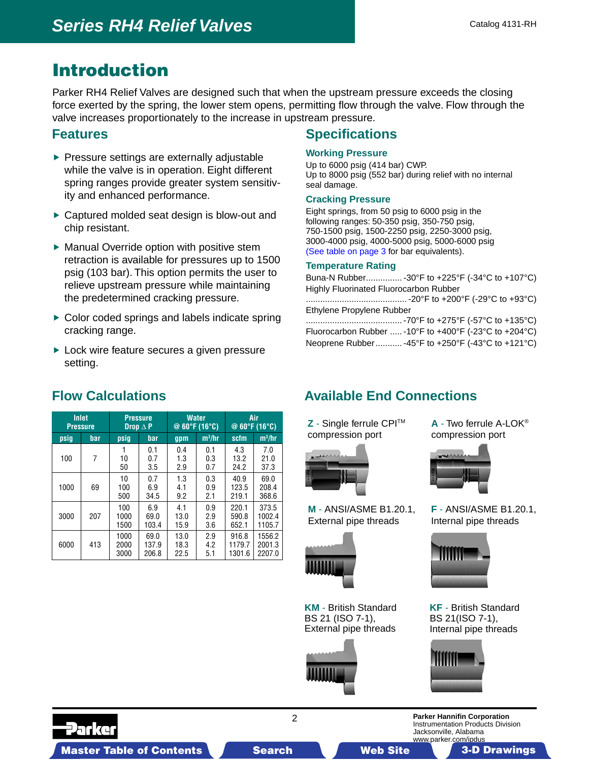## Introduction

Parker RH4 Relief Valves are designed such that when the upstream pressure exceeds the closing force exerted by the spring, the lower stem opens, permitting flow through the valve. Flow through the valve increases proportionately to the increase in upstream pressure.

#### **Features**

- $\blacktriangleright$  Pressure settings are externally adjustable while the valve is in operation. Eight different spring ranges provide greater system sensitivity and enhanced performance.
- ▶ Captured molded seat design is blow-out and chip resistant.
- $\blacktriangleright$  Manual Override option with positive stem retraction is available for pressures up to 1500 psig (103 bar). This option permits the user to relieve upstream pressure while maintaining the predetermined cracking pressure.
- ▶ Color coded springs and labels indicate spring cracking range.
- ► Lock wire feature secures a given pressure setting.

## **Specifications**

#### **Working Pressure**

Up to 6000 psig (414 bar) CWP. Up to 8000 psig (552 bar) during relief with no internal seal damage.

#### **Cracking Pressure**

Eight springs, from 50 psig to 6000 psig in the following ranges: 50-350 psig, 350-750 psig, 750-1500 psig, 1500-2250 psig, 2250-3000 psig, 3000-4000 psig, 4000-5000 psig, 5000-6000 psig (See table on page 3 for bar equivalents).

#### **[Temperature Rating](#page-2-0)**

Buna-N Rubber............... -30°F to +225°F (-34°C to +107°C) Highly Fluorinated Fluorocarbon Rubber .......................................... -20°F to +200°F (-29°C to +93°C) Ethylene Propylene Rubber ........................................ -70°F to +275°F (-57°C to +135°C) Fluorocarbon Rubber ..... -10°F to +400°F (-23°C to +204°C) Neoprene Rubber........... -45°F to +250°F (-43°C to +121°C)

| <b>Inlet</b><br><b>Pressure</b> |     | <b>Pressure</b><br>Drop $\Delta$ P |                        |                      | <b>Water</b><br>$@60^{\circ}F(16^{\circ}C)$ | Air<br>@ $60^{\circ}$ F (16 $^{\circ}$ C) |                            |  |
|---------------------------------|-----|------------------------------------|------------------------|----------------------|---------------------------------------------|-------------------------------------------|----------------------------|--|
| psig                            | bar | psiq                               | <b>bar</b>             | gpm                  | $m^3/hr$                                    | scfm                                      | $m^3/hr$                   |  |
| 100                             | 7   | 10<br>50                           | 0.1<br>0.7<br>3.5      | 0.4<br>1.3<br>2.9    | 0.1<br>0.3<br>0.7                           | 4.3<br>13.2<br>24.2                       | 7.0<br>21.0<br>37.3        |  |
| 1000                            | 69  | 10<br>100<br>500                   | 0.7<br>6.9<br>34.5     | 1.3<br>4.1<br>9.2    | 0.3<br>0.9<br>2.1                           | 40.9<br>123.5<br>219.1                    | 69.0<br>208.4<br>368.6     |  |
| 3000                            | 207 | 100<br>1000<br>1500                | 6.9<br>69.0<br>103.4   | 4.1<br>13.0<br>15.9  | 0.9<br>2.9<br>3.6                           | 220.1<br>590.8<br>652.1                   | 373.5<br>1002.4<br>1105.7  |  |
| 6000                            | 413 | 1000<br>2000<br>3000               | 69.0<br>137.9<br>206.8 | 13.0<br>18.3<br>22.5 | 2.9<br>4.2<br>5.1                           | 916.8<br>1179.7<br>1301.6                 | 1556.2<br>2001.3<br>2207.0 |  |

## **Flow Calculations**

## **Available End Connections**

**Z** - Single ferrule CPITM compression port



**M** - ANSI/ASME B1.20.1, External pipe threads



**KM** - British Standard BS 21 (ISO 7-1), External pipe threads



**A** - Two ferrule A-LOK® compression port



**F** - ANSI/ASME B1.20.1, Internal pipe threads



**KF** - British Standard BS 21(ISO 7-1), Internal pipe threads



Instrumentation Products Division

Jacksonville, Alabama

Master Table of Contents **3. Dearch Master Table of Contents 3-D Drawings Search** Master Table of Contents 3-D Drawings

**Parker Hannifin Corporation**

www.parker.com/ipdus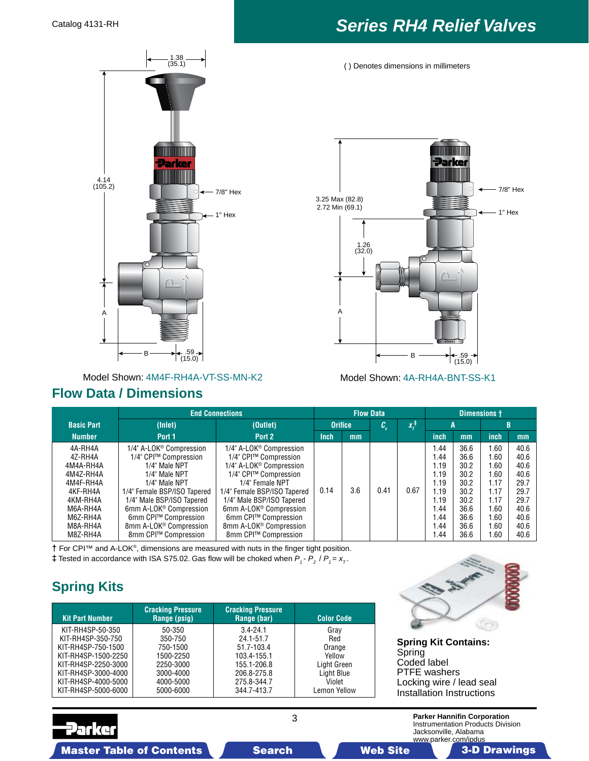

Model Shown: 4M4F-RH4A-VT-SS-MN-K2 Model Shown: 4A-RH4A-BNT-SS-K1

#### **Flow Data / Dimensions**

# <span id="page-2-0"></span>Catalog 4131-RH *Series RH4 Relief Valves*

( ) Denotes dimensions in millimeters



|                                              | <b>End Connections</b>                                                                                                   | <b>Flow Data</b>                                                                                                         |             |                |      | Dimensions +       |                            |                              |                           |                              |
|----------------------------------------------|--------------------------------------------------------------------------------------------------------------------------|--------------------------------------------------------------------------------------------------------------------------|-------------|----------------|------|--------------------|----------------------------|------------------------------|---------------------------|------------------------------|
| <b>Basic Part</b>                            | (Inlet)                                                                                                                  | (Outlet)                                                                                                                 |             | <b>Orifice</b> |      | $x_{t}^{\ddagger}$ | A                          |                              | B                         |                              |
| <b>Number</b>                                | Port 1                                                                                                                   | Port 2                                                                                                                   | <b>Inch</b> | mm             |      |                    | inch                       | mm                           | inch                      | mm                           |
| 4A-RH4A<br>4Z-RH4A                           | 1/4" A-LOK <sup>®</sup> Compression<br>1/4" CPI™ Compression                                                             | 1/4" A-LOK <sup>®</sup> Compression<br>1/4" CPI™ Compression                                                             |             |                |      |                    | .44<br>. 44                | 36.6<br>36.6                 | .60<br>.60                | 40.6<br>40.6                 |
| 4M4A-RH4A<br>4M4Z-RH4A<br>4M4F-RH4A          | 1/4" Male NPT<br>1/4" Male NPT<br>1/4" Male NPT                                                                          | 1/4" A-LOK <sup>®</sup> Compression<br>1/4" CPI™ Compression<br>1/4" Female NPT                                          |             |                |      |                    | 1.19<br>1.19<br>1.19       | 30.2<br>30.2<br>30.2         | .60<br>.60<br>1.17        | 40.6<br>40.6<br>29.7         |
| 4KF-RH4A<br>4KM-RH4A                         | 1/4" Female BSP/ISO Tapered<br>1/4" Male BSP/ISO Tapered                                                                 | 1/4" Female BSP/ISO Tapered<br>1/4" Male BSP/ISO Tapered                                                                 | 0.14        | 3.6            | 0.41 | 0.67               | 1.19<br>1.19               | 30.2<br>30.2                 | 1.17<br>1.17              | 29.7<br>29.7                 |
| M6A-RH4A<br>M6Z-RH4A<br>M8A-RH4A<br>M8Z-RH4A | 6mm A-LOK <sup>®</sup> Compression<br>6mm CPI™ Compression<br>8mm A-LOK <sup>®</sup> Compression<br>8mm CPI™ Compression | 6mm A-LOK <sup>®</sup> Compression<br>6mm CPI™ Compression<br>8mm A-LOK <sup>®</sup> Compression<br>8mm CPI™ Compression |             |                |      |                    | 1.44<br>.44<br>.44<br>1.44 | 36.6<br>36.6<br>36.6<br>36.6 | .60<br>.60<br>.60<br>1.60 | 40.6<br>40.6<br>40.6<br>40.6 |

**†** For CPI™ and A-LOK®, dimensions are measured with nuts in the finger tight position. **‡** Tested in accordance with ISA S75.02. Gas flow will be choked when  $P_1 - P_2 / P_1 = x_T$ .

## **Spring Kits**

| <b>Kit Part Number</b>                                                                                                                                  | <b>Cracking Pressure</b><br>Range (psig)                                          | <b>Cracking Pressure</b><br>Range (bar)                                                             | <b>Color Code</b>                                                      |
|---------------------------------------------------------------------------------------------------------------------------------------------------------|-----------------------------------------------------------------------------------|-----------------------------------------------------------------------------------------------------|------------------------------------------------------------------------|
| KIT-RH4SP-50-350<br>KIT-RH4SP-350-750<br>KIT-RH4SP-750-1500<br>KIT-RH4SP-1500-2250<br>KIT-RH4SP-2250-3000<br>KIT-RH4SP-3000-4000<br>KIT-RH4SP-4000-5000 | 50-350<br>350-750<br>750-1500<br>1500-2250<br>2250-3000<br>3000-4000<br>4000-5000 | $3.4 - 24.1$<br>24.1-51.7<br>51.7-103.4<br>103.4-155.1<br>155.1-206.8<br>206.8-275.8<br>275.8-344.7 | Gray<br>Red<br>Orange<br>Yellow<br>Light Green<br>Light Blue<br>Violet |
| KIT-RH4SP-5000-6000                                                                                                                                     | 5000-6000                                                                         | 344.7-413.7                                                                                         | Lemon Yellow                                                           |



**Spring Kit Contains: Spring** Coded label PTFE washers Locking wire / lead seal Installation Instructions

Master Table of Contents Search Web Site Allen Drawings Search Master Table of Contents 3-D Drawings

Parke

3

**Parker Hannifin Corporation** Instrumentation Products Division Jacksonville, Alabama www.parker.com/ipdus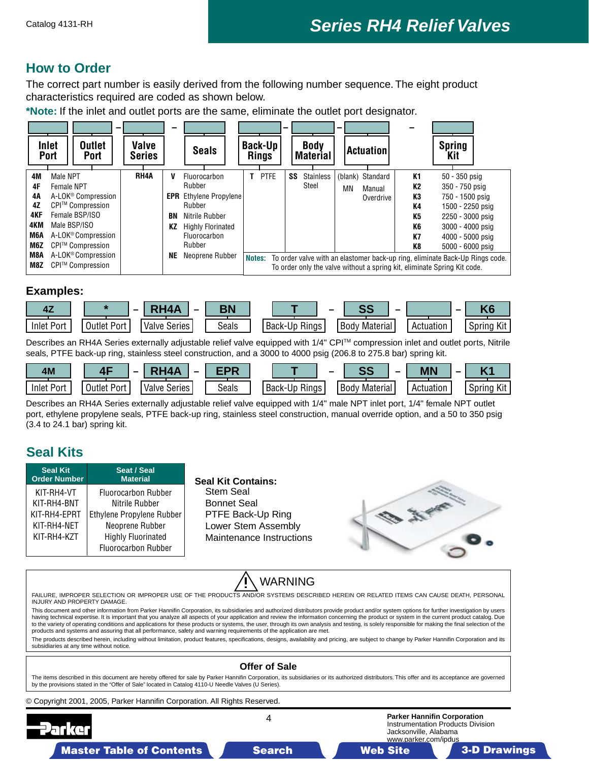## **How to Order**

The correct part number is easily derived from the following number sequence. The eight product characteristics required are coded as shown below.

**\*Note:** If the inlet and outlet ports are the same, eliminate the outlet port designator.

|                                                         | -                                                                                                                                                                                                      |                        |                     |                                                                                                                                                              |                                | -  |                                | -  |                                         |                                              |                                                                                                                                                                                                                                                 |  |
|---------------------------------------------------------|--------------------------------------------------------------------------------------------------------------------------------------------------------------------------------------------------------|------------------------|---------------------|--------------------------------------------------------------------------------------------------------------------------------------------------------------|--------------------------------|----|--------------------------------|----|-----------------------------------------|----------------------------------------------|-------------------------------------------------------------------------------------------------------------------------------------------------------------------------------------------------------------------------------------------------|--|
|                                                         | <b>Inlet</b><br><b>Outlet</b><br><b>Port</b><br><b>Port</b>                                                                                                                                            | Valve<br><b>Series</b> |                     | <b>Seals</b>                                                                                                                                                 | <b>Back-Up</b><br><b>Rings</b> |    | <b>Body</b><br><b>Material</b> |    | <b>Actuation</b>                        |                                              | <b>Spring</b><br>Kit                                                                                                                                                                                                                            |  |
| 4M<br>4F<br>4Α<br>4Z<br>4KF<br>4KM<br>M6A<br>M6Z<br>M8A | Male NPT<br>Female NPT<br>A-LOK <sup>®</sup> Compression<br>CPI™ Compression<br>Female BSP/ISO<br>Male BSP/ISO<br>A-LOK <sup>®</sup> Compression<br>CPI™ Compression<br>A-LOK <sup>®</sup> Compression | RH4A                   | v<br>BN<br>КZ<br>NE | Fluorocarbon<br>Rubber<br><b>EPR</b> Ethylene Propylene<br>Rubber<br>Nitrile Rubber<br><b>Highly Florinated</b><br>Fluorocarbon<br>Rubber<br>Neoprene Rubber | <b>PTFE</b>                    | SS | <b>Stainless</b><br>Steel      | ΜN | (blank) Standard<br>Manual<br>Overdrive | K1<br>К2<br>K3<br>K4<br>K5<br>K6<br>K7<br>K8 | $50 - 350$ psig<br>350 - 750 psig<br>750 - 1500 psig<br>1500 - 2250 psig<br>2250 - 3000 psig<br>3000 - 4000 psig<br>4000 - 5000 psig<br>5000 - 6000 psig<br>Notes: To order valve with an elastomer back-up ring, eliminate Back-Up Rings code. |  |
| M8Z                                                     | CPI™ Compression                                                                                                                                                                                       |                        |                     |                                                                                                                                                              |                                |    |                                |    |                                         |                                              | To order only the valve without a spring kit, eliminate Spring Kit code.                                                                                                                                                                        |  |

#### **Examples:**



Describes an RH4A Series externally adjustable relief valve equipped with 1/4" CPI™ compression inlet and outlet ports, Nitrile seals, PTFE back-up ring, stainless steel construction, and a 3000 to 4000 psig (206.8 to 275.8 bar) spring kit.

| 4M                |             | <b>DUAA</b><br>-         | -nr   |                      | n n<br>$\sim$      | <b>MN</b> |               |
|-------------------|-------------|--------------------------|-------|----------------------|--------------------|-----------|---------------|
| <b>Inlet Port</b> | Outlet Port | Valve .<br><b>Series</b> | Seals | <b>Back-Up Rings</b> | Body<br>Material I | Actuation | Kit<br>Sprina |

Describes an RH4A Series externally adjustable relief valve equipped with 1/4" male NPT inlet port, 1/4" female NPT outlet port, ethylene propylene seals, PTFE back-up ring, stainless steel construction, manual override option, and a 50 to 350 psig (3.4 to 24.1 bar) spring kit.

## **Seal Kits**

| <b>Seal Kit</b><br><b>Order Number</b> | Seat / Seal<br><b>Material</b>               | <b>Seal Kit Contains:</b>                              |  |
|----------------------------------------|----------------------------------------------|--------------------------------------------------------|--|
| KIT-RH4-VT<br>KIT-RH4-BNT              | <b>Fluorocarbon Rubber</b><br>Nitrile Rubber | <b>Stem Seal</b><br><b>Bonnet Seal</b>                 |  |
| KIT-RH4-EPRT<br>KIT-RH4-NET            | Ethylene Propylene Rubber                    | PTFE Back-Up Ring                                      |  |
| KIT-RH4-KZT                            | Neoprene Rubber<br><b>Highly Fluorinated</b> | Lower Stem Assembly<br><b>Maintenance Instructions</b> |  |
|                                        | <b>Fluorocarbon Rubber</b>                   |                                                        |  |

# WARNING

Failure, improper selection or improper use of the products and/or systems described herein or related items can cause death, personal injury and property damage. This document and other information from Parker Hannifin Corporation, its subsidiaries and authorized distributors provide product and/or system options for further investigation by users having technical expertise. It is important that you analyze all aspects of your application and review the information concerning the product or system in the current product catalog. Due to the variety of operating conditions and applications for these products or systems, the user, through its own analysis and testing, is solely responsible for making the final selection of the products and systems and assuring that all performance, safety and warning requirements of the application are met. The products described herein, including without limitation, product features, specifications, designs, availability and pricing, are subject to change by Parker Hannifin Corporation and its subsidiaries at any time without notice. **Offer of Sale** The items described in this document are hereby offered for sale by Parker Hannifin Corporation, its subsidiaries or its authorized distributors. This offer and its acceptance are governed by the provisions stated in the "Offer of Sale" located in Catalog 4110-U Needle Valves (U Series). © Copyright 2001, 2005, Parker Hannifin Corporation. All Rights Reserved.  $\overline{\mathbf{4}}$ **Parker Hannifin Corporation** Instrumentation Products Division Jacksonville, Alabama

Master Table of Contents **3. Search Master Table of Contents 3-D Drawings 3-D Drawings 3-D Drawings 3-D Drawings** 

www.parker.com/ipdus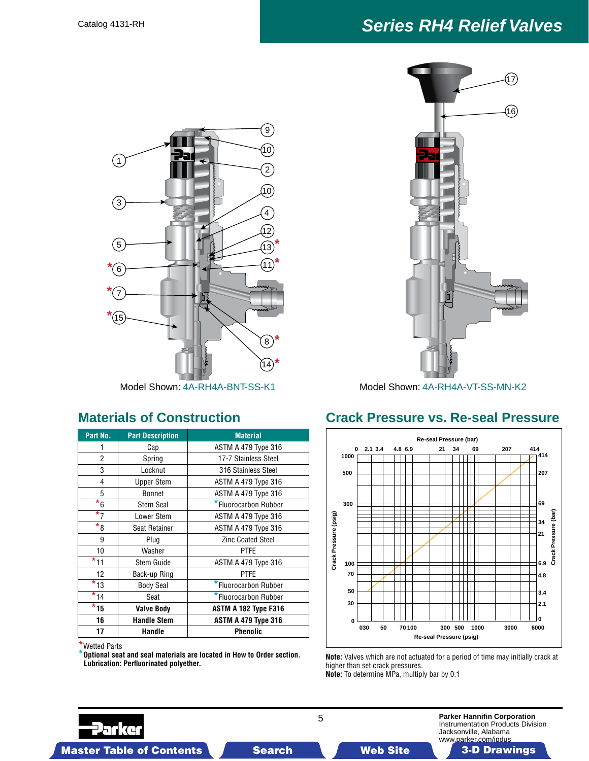# Catalog 4131-RH *Series RH4 Relief Valves*



| Part No.                | <b>Part Description</b> | <b>Material</b>             |  |  |  |
|-------------------------|-------------------------|-----------------------------|--|--|--|
|                         | Cap                     | ASTM A 479 Type 316         |  |  |  |
| $\overline{2}$          | Spring                  | 17-7 Stainless Steel        |  |  |  |
| 3                       | Locknut                 | 316 Stainless Steel         |  |  |  |
| 4                       | <b>Upper Stem</b>       | ASTM A 479 Type 316         |  |  |  |
| 5                       | <b>Bonnet</b>           | ASTM A 479 Type 316         |  |  |  |
| $\overline{\ast}_6$     | <b>Stem Seal</b>        | *Fluorocarbon Rubber        |  |  |  |
| $\overline{\star}$ 7    | Lower Stem              | <b>ASTM A 479 Type 316</b>  |  |  |  |
| $*_{8}$                 | Seat Retainer           | <b>ASTM A 479 Type 316</b>  |  |  |  |
| 9                       | Plug                    | <b>Zinc Coated Steel</b>    |  |  |  |
| 10                      | Washer                  | <b>PTFE</b>                 |  |  |  |
| $*_{11}$                | <b>Stem Guide</b>       | ASTM A 479 Type 316         |  |  |  |
| 12                      | Back-up Ring            | <b>PTFE</b>                 |  |  |  |
| $\overline{\star}$ 13   | <b>Body Seal</b>        | *Fluorocarbon Rubber        |  |  |  |
| $\overline{\star}_{14}$ | Seat                    | *Fluorocarbon Rubber        |  |  |  |
| $*_{15}$                | <b>Valve Body</b>       | <b>ASTM A 182 Type F316</b> |  |  |  |
| 16                      | <b>Handle Stem</b>      | <b>ASTM A 479 Type 316</b>  |  |  |  |
| 17                      | Handle                  | Phenolic                    |  |  |  |

**\***Wetted Parts

**\*Optional seat and seal materials are located in How to Order section. Lubrication: Perfluorinated polyether.**



Model Shown: 4A-RH4A-BNT-SS-K1 Model Shown: 4A-RH4A-VT-SS-MN-K2

## **Materials of Construction Crack Pressure vs. Re-seal Pressure**



**Note:** Valves which are not actuated for a period of time may initially crack at higher than set crack pressures. **Note:** To determine MPa, multiply bar by 0.1



**Parker Hannifin Corporation** Instrumentation Products Division Jacksonville, Alabama www.parker.com/ipdus